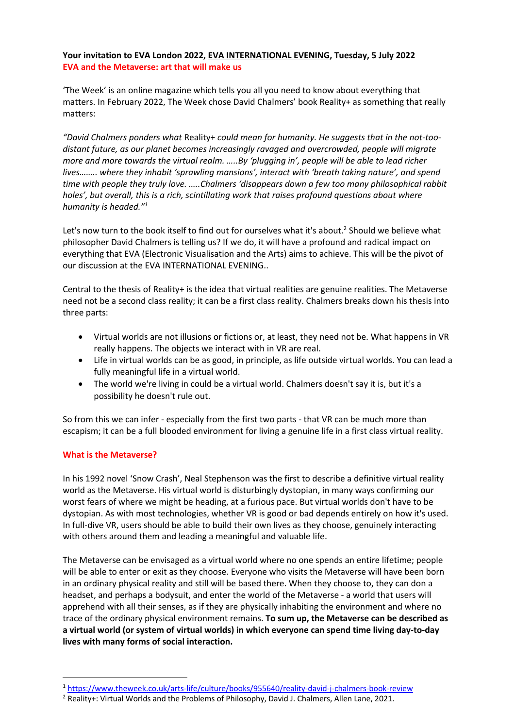# **Your invitation to EVA London 2022, EVA INTERNATIONAL EVENING, Tuesday, 5 July 2022 EVA and the Metaverse: art that will make us**

'The Week' is an online magazine which tells you all you need to know about everything that matters. In February 2022, The Week chose David Chalmers' book Reality+ as something that really matters:

*"David Chalmers ponders what* Reality+ *could mean for humanity. He suggests that in the not-toodistant future, as our planet becomes increasingly ravaged and overcrowded, people will migrate more and more towards the virtual realm. …..By 'plugging in', people will be able to lead richer lives…….. where they inhabit 'sprawling mansions', interact with 'breath taking nature', and spend time with people they truly love. …..Chalmers 'disappears down a few too many philosophical rabbit holes', but overall, this is a rich, scintillating work that raises profound questions about where humanity is headed."1*

Let's now turn to the book itself to find out for ourselves what it's about.<sup>2</sup> Should we believe what philosopher David Chalmers is telling us? If we do, it will have a profound and radical impact on everything that EVA (Electronic Visualisation and the Arts) aims to achieve. This will be the pivot of our discussion at the EVA INTERNATIONAL EVENING..

Central to the thesis of Reality+ is the idea that virtual realities are genuine realities. The Metaverse need not be a second class reality; it can be a first class reality. Chalmers breaks down his thesis into three parts:

- Virtual worlds are not illusions or fictions or, at least, they need not be. What happens in VR really happens. The objects we interact with in VR are real.
- Life in virtual worlds can be as good, in principle, as life outside virtual worlds. You can lead a fully meaningful life in a virtual world.
- The world we're living in could be a virtual world. Chalmers doesn't say it is, but it's a possibility he doesn't rule out.

So from this we can infer - especially from the first two parts - that VR can be much more than escapism; it can be a full blooded environment for living a genuine life in a first class virtual reality.

## **What is the Metaverse?**

In his 1992 novel 'Snow Crash', Neal Stephenson was the first to describe a definitive virtual reality world as the Metaverse. His virtual world is disturbingly dystopian, in many ways confirming our worst fears of where we might be heading, at a furious pace. But virtual worlds don't have to be dystopian. As with most technologies, whether VR is good or bad depends entirely on how it's used. In full-dive VR, users should be able to build their own lives as they choose, genuinely interacting with others around them and leading a meaningful and valuable life.

The Metaverse can be envisaged as a virtual world where no one spends an entire lifetime; people will be able to enter or exit as they choose. Everyone who visits the Metaverse will have been born in an ordinary physical reality and still will be based there. When they choose to, they can don a headset, and perhaps a bodysuit, and enter the world of the Metaverse - a world that users will apprehend with all their senses, as if they are physically inhabiting the environment and where no trace of the ordinary physical environment remains. **To sum up, the Metaverse can be described as a virtual world (or system of virtual worlds) in which everyone can spend time living day-to-day lives with many forms of social interaction.**

<sup>1</sup> https://www.theweek.co.uk/arts-life/culture/books/955640/reality-david-j-chalmers-book-review

<sup>&</sup>lt;sup>2</sup> Reality+: Virtual Worlds and the Problems of Philosophy, David J. Chalmers, Allen Lane, 2021.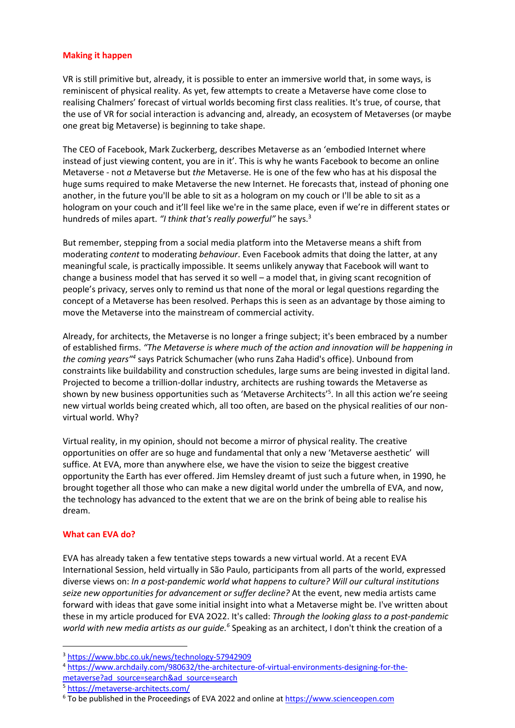## **Making it happen**

VR is still primitive but, already, it is possible to enter an immersive world that, in some ways, is reminiscent of physical reality. As yet, few attempts to create a Metaverse have come close to realising Chalmers' forecast of virtual worlds becoming first class realities. It's true, of course, that the use of VR for social interaction is advancing and, already, an ecosystem of Metaverses (or maybe one great big Metaverse) is beginning to take shape.

The CEO of Facebook, Mark Zuckerberg, describes Metaverse as an 'embodied Internet where instead of just viewing content, you are in it'. This is why he wants Facebook to become an online Metaverse - not *a* Metaverse but *the* Metaverse. He is one of the few who has at his disposal the huge sums required to make Metaverse the new Internet. He forecasts that, instead of phoning one another, in the future you'll be able to sit as a hologram on my couch or I'll be able to sit as a hologram on your couch and it'll feel like we're in the same place, even if we're in different states or hundreds of miles apart. *"I think that's really powerful"* he says.3

But remember, stepping from a social media platform into the Metaverse means a shift from moderating *content* to moderating *behaviour*. Even Facebook admits that doing the latter, at any meaningful scale, is practically impossible. It seems unlikely anyway that Facebook will want to change a business model that has served it so well – a model that, in giving scant recognition of people's privacy, serves only to remind us that none of the moral or legal questions regarding the concept of a Metaverse has been resolved. Perhaps this is seen as an advantage by those aiming to move the Metaverse into the mainstream of commercial activity.

Already, for architects, the Metaverse is no longer a fringe subject; it's been embraced by a number of established firms. *"The Metaverse is where much of the action and innovation will be happening in the coming years"4* says Patrick Schumacher (who runs Zaha Hadid's office). Unbound from constraints like buildability and construction schedules, large sums are being invested in digital land. Projected to become a trillion-dollar industry, architects are rushing towards the Metaverse as shown by new business opportunities such as 'Metaverse Architects' 5 . In all this action we're seeing new virtual worlds being created which, all too often, are based on the physical realities of our nonvirtual world. Why?

Virtual reality, in my opinion, should not become a mirror of physical reality. The creative opportunities on offer are so huge and fundamental that only a new 'Metaverse aesthetic' will suffice. At EVA, more than anywhere else, we have the vision to seize the biggest creative opportunity the Earth has ever offered. Jim Hemsley dreamt of just such a future when, in 1990, he brought together all those who can make a new digital world under the umbrella of EVA, and now, the technology has advanced to the extent that we are on the brink of being able to realise his dream.

## **What can EVA do?**

EVA has already taken a few tentative steps towards a new virtual world. At a recent EVA International Session, held virtually in São Paulo, participants from all parts of the world, expressed diverse views on: *In a post-pandemic world what happens to culture? Will our cultural institutions seize new opportunities for advancement or suffer decline?* At the event, new media artists came forward with ideas that gave some initial insight into what a Metaverse might be. I've written about these in my article produced for EVA 2O22. It's called: *Through the looking glass to a post-pandemic*  world with new media artists as our guide.<sup>6</sup> Speaking as an architect, I don't think the creation of a

<sup>5</sup> https://metaverse-architects.com/

<sup>3</sup> https://www.bbc.co.uk/news/technology-57942909

<sup>4</sup> https://www.archdaily.com/980632/the-architecture-of-virtual-environments-designing-for-themetaverse?ad\_source=search&ad\_source=search

<sup>&</sup>lt;sup>6</sup> To be published in the Proceedings of EVA 2022 and online at https://www.scienceopen.com